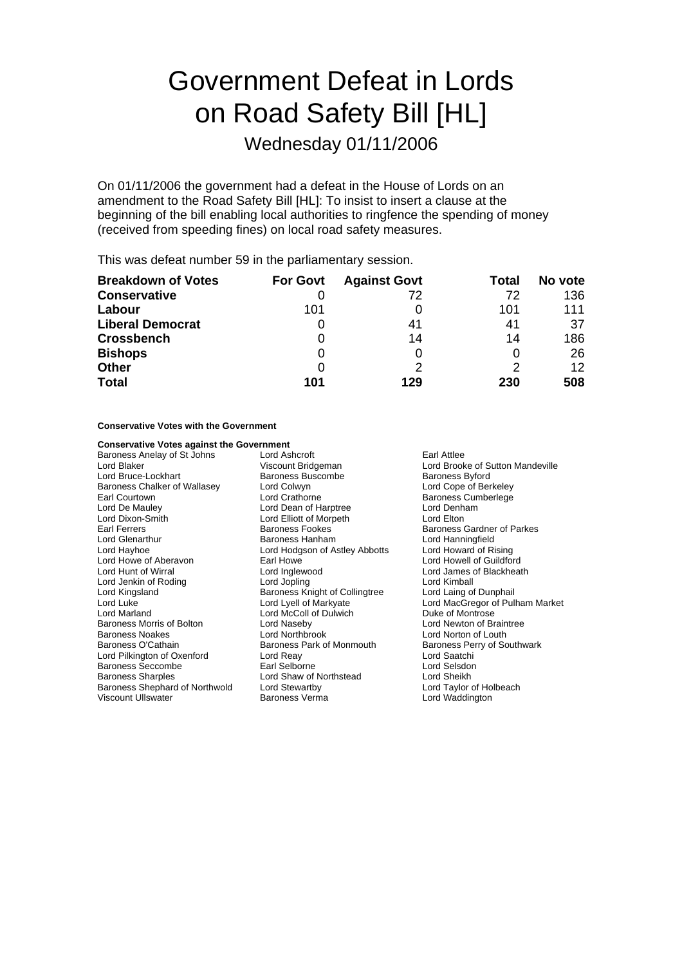# Government Defeat in Lords on Road Safety Bill [HL]

### Wednesday 01/11/2006

On 01/11/2006 the government had a defeat in the House of Lords on an amendment to the Road Safety Bill [HL]: To insist to insert a clause at the beginning of the bill enabling local authorities to ringfence the spending of money (received from speeding fines) on local road safety measures.

This was defeat number 59 in the parliamentary session.

| <b>Breakdown of Votes</b> | <b>For Govt</b> | <b>Against Govt</b> | Total | No vote           |
|---------------------------|-----------------|---------------------|-------|-------------------|
| <b>Conservative</b>       |                 | 72                  | 72    | 136               |
| Labour                    | 101             |                     | 101   | 111               |
| <b>Liberal Democrat</b>   |                 | 41                  | 41    | 37                |
| <b>Crossbench</b>         |                 | 14                  | 14    | 186               |
| <b>Bishops</b>            |                 |                     | O     | 26                |
| <b>Other</b>              |                 |                     | 2     | $12 \overline{ }$ |
| <b>Total</b>              | 101             | 129                 | 230   | 508               |

### **Conservative Votes with the Government**

### **Conservative Votes against the Government**

Baroness Anelay of St Johns Lord Ashcroft Carl Attlee Earl Attlee<br>
Lord Blaker Cord Brook Cord Brook Cord Brook Lord Blaker (Viscount Bridgeman Mandeville Lord Brooke of Sutton Mandeville Lord Brooke of Sutton Mandeville Co<br>
Lord Bruce-Lockhart (Danmess Buscombe Mandeville Baroness Byford) Baroness Chalker of Wallasey Lord Colwyn<br>
Earl Courtown 
Lord Crathorne Lord De Mauley **Lord Dean of Harptree Lord Denham**<br>
Lord Dixon-Smith **Lord Lord Elliott** of Morpeth **Lord Elliot** Lord Elton Lord Dixon-Smith Lord Elliott of Morpeth<br>
Earl Ferrers Carl Baroness Fookes Lord Glenarthur **Example 2** Baroness Hanham **Lord Hanningfield**<br>
Lord Havhoe **National Lord Hotal Lord Astley Abbotts** Lord Howard of Rising Lord Hayhoe Lord Hodgson of Astley Abbotts<br>
Lord Howe of Aberavon Lord Howe Lord Howe of Aberavon **Earl Howe Carl Howe Lord Howell of Guildford**<br>
Lord Hunt of Wirral **Earl Howe Lord Inglewood** Lord Lord James of Blackheat Lord Jenkin of Roding<br>
Lord Lord Jopling Collingtree Lord Laing of Dunphail<br>
Lord Kingsland Collingtree Lord Laing of Dunphail Lord Kingsland Baroness Knight of Collingtree<br>
Lord Luke<br>
Lord Lyell of Markyate Lord Marland Lord McColl of Dulwich Duke of Montrose Baroness Morris of Bolton **Lord Naseby** Lord Naseby **Lord Newton of Braintree**<br>
Baroness Noakes **Lord Northbrook** Lord Northbrook **Lord Norton of Louth** Baroness Noakes **Lord Northbrook** Lord Norton of Louth<br>Baroness O'Cathain **Communist Control Control Control Control** Baroness Perry of Sc Lord Pilkington of Oxenford Lord Reay Lord Saatchi Baroness Seccombe **Earl Selborne** Earl Selborne **Earl Selborne** Lord Selsdon<br>Baroness Sharples **Earl Selborne Contract Contract Contract** Lord Sheikh Baroness Shephard of Northwold Lord Stewartby Viscount Ullswater Baroness Verma Lord Waddington

Baroness Buscombe<br>
Lord Colwyn<br>
Lord Cope of Berkeley Baroness Fookes **Baroness Gardner of Parkes** Lord Shaw of Northstead Lord Sheikh<br>
Lord Stewartby **Caroling Corporation**<br>
Lord Taylor of Holbeach

Baroness Cumberlege Lord James of Blackheath Lord MacGregor of Pulham Market Baroness Perry of Southwark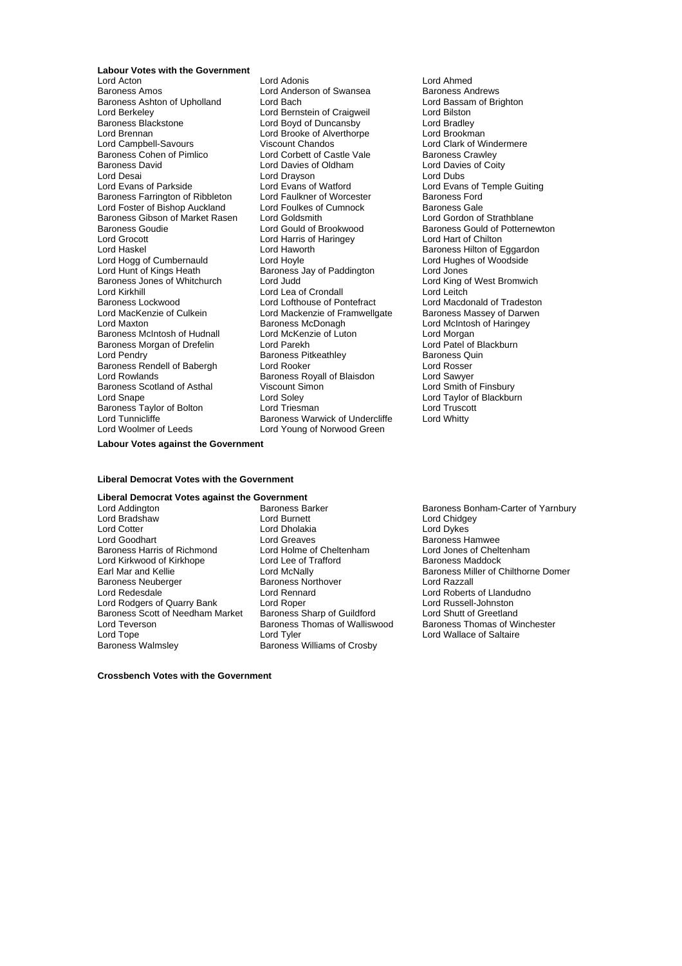**Labour Votes with the Government**<br>Lord Acton Baroness Amos<br>
Baroness Ashton of Upholland
Lord Bach
Lord Bach
Lord Baroness Ashton of Upholland
Lord Bach
Lord Baroness Ashton of Upholland
Lord Bach
Lord Baroness Ashton of Upholland
Lord Bach
Lord Baroness Ashton of Up Baroness Ashton of Upholland Lord Bach Lord Bach Lord Bassan<br>
Lord Backeley Cord Back Lord Bernstein of Craigweil Lord Bilston Lord Berkeley **Communist Communist Communist Communist Communist Communist Communist Communist Communist Communist Communist Communist Communist Communist Communist Communist Communist Communist Communist Communist Communi** Baroness Blackstone Lord Boyd of Duncansby Lord Bradley Lord Brennan Lord Brooke of Alverthorpe<br>
Lord Brooke of Alverthorpe<br>
Lord Campbell-Savours Viscount Chandos Lord Campbell-Savours<br>
Baroness Cohen of Pimlico<br>
Lord Corbett of Castle Vale<br>
Lord Castle Vale<br>
Baroness Crawley Baroness Cohen of Pimlico **Collact Condett of Castle Vale** Baroness Crawley<br>
Baroness David **Davies of Condet Condet Condet Condet Condet Condet Condet Condet Condet Condet Condet Condet** Lord Desai Lord Drayson<br>
Lord Evans of Parkside<br>
Lord Evans of Watford Baroness Farrington of Ribbleton Lord Faulkner of Worcester Baroness Ford<br>
Lord Foster of Bishop Auckland Lord Foulkes of Cumnock Baroness Gale Lord Foster of Bishop Auckland Lord Foulkes of Cumnock<br>
Baroness Gibson of Market Rasen Lord Goldsmith Lord Lord Gordon of Strathblane Baroness Gibson of Market Rasen Lord Goldsmith<br>Baroness Goudie **Condition Condity** Lord Gould of Brookwood Baroness Goudie **Communist Could of Brookwood** Baroness Gould of Potternewton<br>Lord Grocott **Could be Baron Could Alteria** Could be a Lord Hart of Chilton Lord Grocott Lord Harris of Haringey<br>Lord Haskel Lord Haworth Lord Hogg of Cumbernauld Lord Hoyle Lord Hogg Cumbernauld Lord Hughe<br>Lord Hunt of Kings Heath Baroness Jay of Paddington Lord Jones Lord Hunt of Kings Heath Baroness Jay of Paddington<br>Baroness Jones of Whitchurch Lord Judd Lord Kirkhill Lord Lord Lea of Crondall Lord Leitch<br>
Baroness Lockwood Lord Lord Lord Lofthouse of Pontefract Lord Macdo Baroness Lockwood **Lord Lord Lofthouse of Pontefract** Lord Macdonald of Tradeston<br>
Lord MacKenzie of Culkein **Lord Mackenzie of Framwellgate** Baroness Massey of Darwen Lord MacKenzie of Culkein Lord Mackenzie of Framwellgate<br>Lord Maxton Lord Mackenzie of Culkein Baroness McDonagh Baroness McIntosh of Hudnall Lord McKenzie of Luton Lord Morgan<br>Baroness Morgan of Drefelin Lord Parekh Lord Patel of Blackburn Baroness Morgan of Drefelin Lord Parekh Lord Datel of Blackburn Lord Patel of Blackburn Lord Patel of Blackburn<br>
Lord Pendry Baroness Quin Baroness Rendell of Babergh Lord Rooker Lord Rosser Baroness Scotland of Asthal Viscount Si<br>
Lord Snape Cord Soley Baroness Taylor of Bolton Lord Triesman and Lord Truscott<br>
Lord Tunnicliffe Repress Warwick of Undercliffe Lord Whitty Lord Woolmer of Leeds **Lord Young of Norwood Green** 

Lord Adonis<br>
Lord Anderson of Swansea<br>
Baroness Andrews Lord Davies of Oldham Lord Davie<br>
Lord Dravson Lord Dubs Lord Evans of Watford<br>
Lord Eaulkner of Worcester<br>
Baroness Ford<br>
Baroness Example Guiting Lord Haworth **Baroness Hilton of Eggardon**<br>
Lord Hovle **Lord Hughes** of Woodside Extra Baroness McDonagh Lord McIntosh of Haringey<br>
Lord McKenzie of Luton<br>
Lord McMan Lord Pendrick Pitkeathley<br>
Lord Pooker<br>
Lord Pooker Baroness Royall of Blaisdon Lord Sawyer<br>
Viscount Simon<br>
Lord Smith of Finsbury Lord Soley Lord Taylor of Blackburn<br>
Lord Triesman Lord Truscott Baroness Warwick of Undercliffe

Lord King of West Bromwich

**Labour Votes against the Government**

#### **Liberal Democrat Votes with the Government**

### **Liberal Democrat Votes against the Government**<br>
Lord Addington **Rate Backer** Barker

Lord Bradshaw Lord Burnett Lord Chidgey Lord Cotter Lord Dholakia<br>
Lord Goodhart Lord Greaves Baroness Harris of Richmond Lord Holme of Cheltenham Lord Jones of Chelt<br>
Lord Kirkwood of Kirkhope Lord Lee of Trafford Baroness Maddock Lord Kirkwood of Kirkhope Lord Lee of T<br>
Earl Mar and Kellie **Maddock Cord Randock** Baroness Neuberger Faroness Northover<br>
Lord Redesdale<br>
Lord Rennard Lord Rodgers of Quarry Bank Lord Roper Lord Russell-Johnston Baroness Scott of Needham Market Baroness Sharp of Guildford Lord Shutt of Greetland Lord Teverson Saroness Thomas of Walliswood<br>
Lord Tope<br>
Lord Tyler

Lord Greaves<br>
Lord Holme of Cheltenham<br>
Lord Jones of Cheltenham<br>
Lord Jones of Cheltenham Lord Rennard **Lord Roberts of Llandudno**<br>
Lord Rober<br>
Lord Russell-Johnston Lord Tope **Lord Tyler** Lord Tyler Lord Tope Lord Wallace of Saltaire<br>
Baroness Walmsley **Baroness Williams of Crosby** Baroness Williams of Crosby

Baroness Barker **Baroness Bonham-Carter of Yarnbury**<br>
Lord Burnett **Baroness Bonham-Carter of Yarnbury** Earl Mar and Kellie Lord McNally Lord McNally Baroness Maximus Baroness Miller of Chilthorne Domer<br>Baroness Meuberger Baroness Northover Baroness Medical Domer Baroness Method

**Crossbench Votes with the Government**